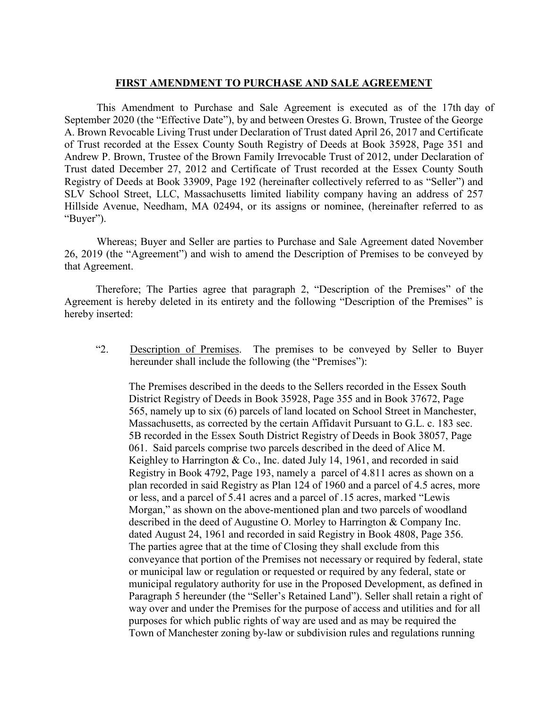## **FIRST AMENDMENT TO PURCHASE AND SALE AGREEMENT**

This Amendment to Purchase and Sale Agreement is executed as of the 17th day of September 2020 (the "Effective Date"), by and between Orestes G. Brown, Trustee of the George A. Brown Revocable Living Trust under Declaration of Trust dated April 26, 2017 and Certificate of Trust recorded at the Essex County South Registry of Deeds at Book 35928, Page 351 and Andrew P. Brown, Trustee of the Brown Family Irrevocable Trust of 2012, under Declaration of Trust dated December 27, 2012 and Certificate of Trust recorded at the Essex County South Registry of Deeds at Book 33909, Page 192 (hereinafter collectively referred to as "Seller") and SLV School Street, LLC, Massachusetts limited liability company having an address of 257 Hillside Avenue, Needham, MA 02494, or its assigns or nominee, (hereinafter referred to as "Buyer").

Whereas; Buyer and Seller are parties to Purchase and Sale Agreement dated November 26, 2019 (the "Agreement") and wish to amend the Description of Premises to be conveyed by that Agreement.

Therefore; The Parties agree that paragraph 2, "Description of the Premises" of the Agreement is hereby deleted in its entirety and the following "Description of the Premises" is hereby inserted:

"2. Description of Premises. The premises to be conveyed by Seller to Buyer hereunder shall include the following (the "Premises"):

The Premises described in the deeds to the Sellers recorded in the Essex South District Registry of Deeds in Book 35928, Page 355 and in Book 37672, Page 565, namely up to six (6) parcels of land located on School Street in Manchester, Massachusetts, as corrected by the certain Affidavit Pursuant to G.L. c. 183 sec. 5B recorded in the Essex South District Registry of Deeds in Book 38057, Page 061. Said parcels comprise two parcels described in the deed of Alice M. Keighley to Harrington & Co., Inc. dated July 14, 1961, and recorded in said Registry in Book 4792, Page 193, namely a parcel of 4.811 acres as shown on a plan recorded in said Registry as Plan 124 of 1960 and a parcel of 4.5 acres, more or less, and a parcel of 5.41 acres and a parcel of .15 acres, marked "Lewis Morgan," as shown on the above-mentioned plan and two parcels of woodland described in the deed of Augustine O. Morley to Harrington & Company Inc. dated August 24, 1961 and recorded in said Registry in Book 4808, Page 356. The parties agree that at the time of Closing they shall exclude from this conveyance that portion of the Premises not necessary or required by federal, state or municipal law or regulation or requested or required by any federal, state or municipal regulatory authority for use in the Proposed Development, as defined in Paragraph 5 hereunder (the "Seller's Retained Land"). Seller shall retain a right of way over and under the Premises for the purpose of access and utilities and for all purposes for which public rights of way are used and as may be required the Town of Manchester zoning by-law or subdivision rules and regulations running